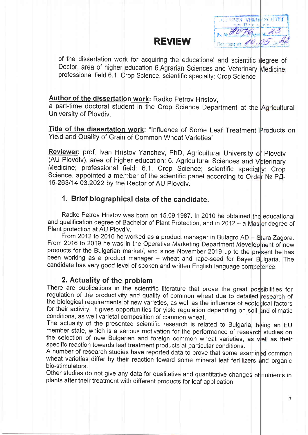# REVIEW.



of the dissertation work for acquiring the educational and scientific degree of Doctor, area of higher education 6.Agrarian Sciences and Veterinary Medicine: professional field 6.1. Crop Science; scientific specialty: Crop Science

# Author of the dissertation work: Radko Petrov Hristov,

a part-time doctoral student in the Crop Science Department at the Agricultura University of Plovdiv.

Title of the dissertation work: "Influence of Some Leaf Treatment Products on Yield and Quality of Grain of Common Wheat Varieties"

Reviewer: prof. Ivan Hristov Yanchev, PhD, Agricultural University of Plovdiv (AU Plovdiv), area of higher education: 6. Agricultural Sciences and Veterinary Medicine; professional field: 6.1. Crop Science; scientific specialty: Crop Science, appointed a member of the scientific panel according to Order № PД-16-263/14.03.2022 by the Rector of AU Ploydiv.

# 1. Brief biographical data of the candidate.

Radko Petrov Hristov was born on 15.09.1<mark>987. In 2010 he obtained the</mark> educationa and qualification degree of Bachelor of Plant Protection, and in 2012 - a Master degree of Plant protection at AU Plovdiv.

From 2012 to 2016 he worked as a product manager in Bulagro AD – Stara Zagora.<br>2016 to 2019 ho was in the Operative Marketine Department of U From 2016 to 2019 he was in the Operative Marketing Department /development of new products for the Bulgarian market/, and since November 2019 up to the present he has been working as a product manager – wheat and rape-seed for Bayer Bulgaria. The candidate has very good level of spoken and written English language competence.

# 2. Actuality of the problem

There are publications in the scientific literature that prove the great possibilities for regulation of the productivity and quality of common wheat due to detailed research of the biological requirements of new varieties, as well as the influence of ecological factors for their activity. It gives opportunities for yield regulation depending on soil and climatic conditions, as well varietal composition of common wheat.

The actuality of the presented scientific research is related to Bulgaria, being an EU member state, which is a serious motivation for the performance of research studies on the selection of new Bulgarian and foreign common wheat varieties, as well as their specific reaction towards leaf treatment products at particular conditions.

A number of research studies have reported data to prove that some examined commor wheat varieties differ by their reaction toward some mineral leaf fertilizers and organic bio-stimulators.

Other studies do not give any data for qualitative and quantitative changes of nutrients in plants after their treatment with different products for leaf application.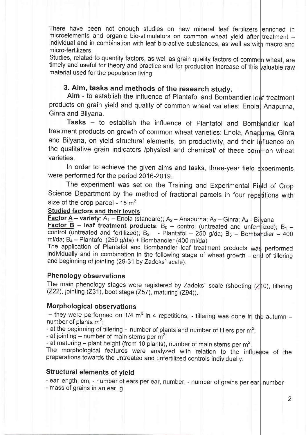There have been not enough studies on new mineral leaf fertilizers enriched in microelements and organic bio-stimulators on common wheat yield after treatment individual and in combination with leaf bio-active substances, as well as with macro and micro-fertilizers.

material used for the population living. Studies, related to quantity factors, as well as grain quality factors of common wheat, are timely and useful for theory and practice and for production increase of this valuable raw

# 3. Aim, tasks and methods of the research study.

Aim - to establish the influence of Plantafol and Bombandier leaf treatmen products on grain yield and quality of common wheat varieties: Enola Anapurna, Ginra and Bilyana.

Tasks - to establish the influence of Plantafol and Bombandier leaf treatment products on growth of common wheat varieties: Enola, Anap<mark>urna, Ginra</mark> and Bilyana, on yield structural elements, on productivity, and their influence on the qualitative grain indicators /physical and chemical/ of these common wheat varieties.

In order to achieve the given aims and tasks, three-year field experiments were performed for the period 2016-2019.

The experiment was set on the Training and Experimental Field of Crop Science Department by the method of fractional parcels in four repetitions with size of the crop parcel -  $15 \text{ m}^2$ .

#### Studied factors and their levels

Factor A -- variety: A<sub>1</sub> -- Enola (standard); A<sub>2</sub> -- Anapurna; A<sub>3</sub> -- Ginra; A<sub>4</sub> -- Bilyana<br>Factor B Factor  $\overline{B}$  – leaf treatment products:  $B_0$  – control (untreated and unfertilized);  $B_1$  – control (untreated and fertilized);  $B_2$  - Plantafol – 250 g/da;  $B_3$  – Bombandier – 400 m/da;  $B_4$  – Plantafol (250 g/da) + Bombandier (400 ml/da) ml/da;  $B_4$  -- Plantafol (250 g/da) + Bombandier (400 ml/da)

The application of Plantafol and Bombandier leaf treatment products was performed individually and in combination in the following stage of wheat growth - end of tillering and beginning of jointing (29-31by Zadoks' scale).

#### Phenology observations

The main phenology stages were registered by Zadoks' scale (shooting (Z10), tillering  $(Z22)$ , jointing  $(Z31)$ , boot stage  $(Z57)$ , maturing  $(Z94)$ ).

#### **Morphological observations**

- they were performed on 1/4 m<sup>2</sup> in 4 repetitions; - tillering was done in the autumn -<br>umber of plants m<sup>2</sup>: number of plants  $m^2$ ;

- at the beginning of tillering – number of plants and number of tillers per  $m^2$ ;

- at jointing – number of main stems per  $m^2$ ;<br>- at maturing – plant height (from 10 plants), number of main stems per m<sup>2</sup>.

- at maturing – plant height (from 10 plants), number of main stems per m<sup>2</sup>.<br>The morphological features were analyzed with relation to the influence of the preparations towards the untreated and unfertilized controls individually.

#### Structural elements of yield

- ear length, cm; - number of ears per ear, number; - number of grains per ear, number

- mass of grains in an ear, g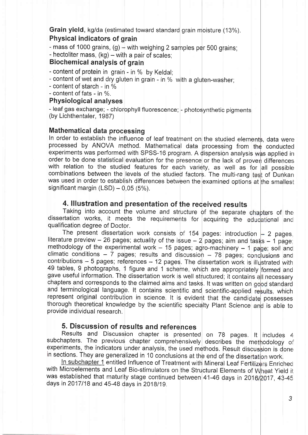Grain yield, kg/da (estimated toward standard grain moisture (13%).

### Physical indicators of grain

 $-$  mass of 1000 grains, (g)  $-$  with weighing 2 samples per 500 grains;

 $-$  hectoliter mass,  $(kg)$  – with a pair of scales;

#### Biochemical analysis of grain

- content of protein in grain - in % by Keldal;

- content of wet and dry gluten in grain - in % with a gluten-washer;

- content of starch - in  $%$ 

- content of fats - in %.

#### Physiological analyses

- leaf gas exchange; - chlorophyll fluorescence; - photosynthetic pigments (by Lichthentaler, 1987)

#### Mathematical data processing

In order to establish the influence of leaf treatment on the studied elements, data were processed by ANOVA method. Mathematical data processing from the conducted experiments was performed with SPSS-16 program. A dispersion analysis was applied ir order to be done statistical evaluation for the presence or the lack of proven differences with relation to the studied features for each variety, as well as for all possible combinations between the levels of the studied factors. The multi-rang test of Dunkar was used in order to establish differences between the examined options at the smalles significant margin  $(LSD) - 0.05$  (5%).

## 4. llllustration and presentation of the received results

Taking into account the volume and structure of the separate chapters of the dissertation works, it meets the requirements for acquiring the educational and qualification degree of Doctor.

The present dissertation work consists of 154 pages: introduction  $-$  2 pages literature preview  $-$  26 pages; actuality of the issue  $-$  2 pages; aim and tasks  $-$  1 page methodology of the experimental work  $-15$  pages; agro-machinery  $-1$  page; soil and climatic conditions  $-7$  pages; results and discussion  $-78$  pages; conclusions and contributions  $-5$  pages; references  $-12$  pages. The dissertation work is illustrated with 49 tables, 9 photographs, 1 figure and 1 scheme, which are appropriately formed and gave useful information. The dissertation work is well structured; it contains all necessary chapters and corresponds to the claimed aims and tasks. It was written on good standard and terminological language. It contains scientific and scientific-applied results, which represent original contribution in science. It is evident that the candidate possesses thorough theoretical knowledge by the scientific specialty Plant Science and is able to provide individual research.

#### 5. Discussion of results and references

Results and Discussion chapter is presented on 78 pages. It includes 4 subchapters. The previous chapter comprehensively describes the methodology of experiments, the indicators under analysis, the used methods. Result discussion is done in sections. They are generalized in 10 conclusions at the end of the dissertation work

In subchapter 1 entitled Influence of Treatment with Mineral Leaf Fertilizers Enriched with Microelements and Leaf Bio-stimulators on the Structural Elements of Wheat Yield it was established that maturity stage continued between 41-46 days in 2016/2017, 43-45 days in 2017/18 and 45-48 days in 2018/19.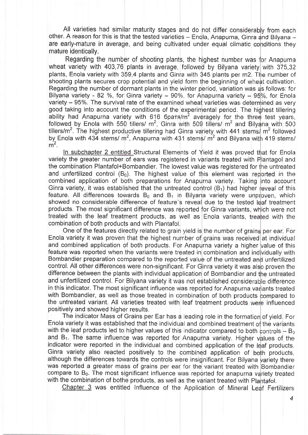All varieties had similar maturity stages and do not differ considerably from each other. A reason for this is that the tested varieties - Enola, Anapurna, Ginra and Bilyana are early-mature in average, and being cultivated under equal climatic conditions they mature identically.

Regarding the number of shooting plants, the highest number was for Anapurna wheat variety with 403,76 plants in average, followed by Bilyana variety with 375,32 plants, Enola variety with 359.4 plants and Ginra with 345 plants per m2. The number of shooting plants secures crop potential and yield form the beginning of wheat cultivation. Regarding the number of dormant plants in the winter period, variation was as follows: for Bilyana variety - 82 %, for Ginra variety – 90%, for Ahapurna variety – 95%, for Enola variety – 95%. The survival rate of the examined wheat varieties was determined as very good taking into account the conditions of the experimental period. The highest tillering ability had Anapurna variety with 616 братя/m<sup>2</sup> averagely for the three test years. followed by Enola with 550 tillers/  $m^2$ , Ginra with 509 tillers/  $m^2$  and Bilyana with 500 tillers/m<sup>2</sup>. The highest productive tillering had Ginra variety with 441 stems/ m<sup>2</sup> followed by Enola with 434 stems/ $m^2$ , Anapurna with 431 stems/ $m^2$  and Bilyana with 419 stems/  $m<sup>2</sup>$ 

In subchapter 2 entitled Structural Elements of Yield it was proved that for Enola variety the greater number of ears was registered in variants treated with Plantagol and the combination Plantafol+Bombandier. The lowest value was registered for the untreated and unfertilized control  $(B_0)$ . The highest value of this element was reported in the combined application of both preparations for Anapurna variety. Taking into account Ginra variety, it was established that the untreated control  $(B_1)$  had higher reveal of this feature. All differences towards  $B_0$  and  $B_1$  in Bilyana variety were unproven, which showed no considerable difference of feature's reveal due to the tested leaf treatment products. The most significant difference was reported for Ginra variants, which were not treated with the leaf treatment products, as well as Enola variants, treated with the combination of both products and with Plantafol.

One of the features directly related to grain yield is the number of grains per ear. For Enola variety it was proven that the highest number of grains was received at individual and combined application of both products. For Anapurna variety a higher value of this feature was reported when the variants were treated in combination and individually with Bombandier preparation compared to the reported value of the untreated and unfertilized control. All other differences were non-significant. For Ginra variety it was also proven the difference between the plants with individual application of Bombandier and the untreated and unfertilized control. For Bilyana variety it was not established considerable difference in this indicator. The most significant influence was reported for Anapurna variants treated with Bombandier, as well as those treated in combination of both products compared to the untreated variant. All varieties treated with leaf treatment products were influenced positively and showed higher results.

The indicator Mass of Grains per Ear has a leading role in the formation of yield. For Enola variety it was established that the individual and combined treatment of the variants with the leaf products led to higher values of this indicator compared to both controls  $-B<sub>0</sub>$ and B<sub>1</sub>. The same influence was reported for Anapurna variety. Higher values of the indicator were reported in the individual and combined application of the leaf products. Ginra variety also reacted positively to the combined application of both products, although the differences towards the controls were insignificant. For Bilyana variety there was reported a greater mass of grains per ear for the variant treated with Bombandier compare to B<sub>0</sub>. The most significant influence was reported for anapurna variety treated with the combination of bothe products, as well as the variant treated with Plantafol.

Chapter 3 was entitled Influence of the Application of Mineral Leaf Fertilizers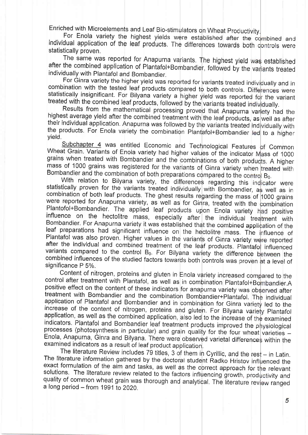Enriched with Microelements and Leaf Bio-stimulators on Wheat Productivity.

For Enola variety the highest yields were established after the combined and<br>individual application of the leaf products. The differences towards both controls were statisticallv proven. For Enola variety the highest yields were established after the combined and

The same was reported for Anapurna variants. The highest yield was established after the combined application of Plantafol+Bombandier, followed by the variants treated<br>individually with Plantafol and Bombandier.

For Ginra variety the higher yield was reported for variants treated indicombination with the tested leaf products compared to both controls. Diferatistically insignificant. For Bilyana variety a higher yield was reported treated with the combined leaf products, followed by the variants treated individually. For Ginra variety the higher yield was reported for variants treated individually and in were statistically insignificant. For Bilyana variety a higher yield was reported for the variant

Results from the mathematical processing proved that Anapurna validity<br>highest average yield after the combined treatment with the leaf products, as<br>their individual application. Anapurna was followed by the variants treat yield, Results from the mathematical processing proved that Anapurna variety had the highest average yield after the combined treatment with the leaf products, as well as after idually wittr the products. For Enola variety the combination Plantafol+Bombandier led to a higher

Subchapter 4 was entitled Economic and Technological Features<br>Wheat Grain. Variants of Enola variety had higher values of the indicator Morgains when treated with Bombandier and the combinations of both produ mass of 1000 grains was registered for the variants of Ginra variety when treated with Bombandier and the combination of both preparations compared to the combination to Bilyana variety, the differences regarding this Subchapter 4 was entitled Economic and Technological Features of Common ss of 1000 grains when treated with Bombandier and the combinations of both products. A higher  $\mathsf{B}^0$ 

statistically proven for the variants treated individually with Bombandier, as well as in combination of both leaf products. The ghest results regarding the mass of 1000 grains were reported for Anapurna variety, as well as for Ginra, treated with the Plantofol+Bombandier. The applied leaf products upon Enola variety influence on the hectolitre mass, especially after the individual treated by Bom after the individual and combined treatment of the leaf products. Plantafol influenced variants compared to the control  $B_0$ . For Bilyana variety the difference between the combined influences of the studied factors towards both controls was proven at a level of significance P 5%. With relation to Bilyana variety, the differences regarding this indicator were were reported for Anapurna variety, as well as for Ginra, treated with the combination Plantofol+Bombandier. The applied leaf products upon Enola variety had positive nt with Bombandier. For Anapurna variety it was established that the combined application of the leaf preparations had significant influence on the hectolitre mass. The influence of Plantafol was also proven. Higher values in the variants of Ginra variety were reported variants compared to the control B<sub>0</sub>. For Bilyana variety the difference between the

Content of nitrogen, proteins and gluten in Enola variety increased compared to the<br>control after treatment with Plantafol, as well as in combination Plantafol+Bombandier.A positive effect on the content of these indicators for anapurna variety was obtreatment with Bombandier and the combination Bombandier+Plantafol. The application of Plantafol and Bombandier and in combination for Ginra var processes (photosynthesis in particular) and grain quality for the four wheat Enola, Anapurna, Ginra and Bilyana. There were observed varietal difference examined indicators as a result of leaf product application. Content of nitrogen, proteins and gluten in Enola variety increased compared to the positive effect on the content of these indicators for anapurna variety was observed after treatment with Bombandier and the combination Bombandier+Plantafol. The individual led to the increase of the content of nitrogen, proteins and gluten. For Bilyana variety Plantafol application, as well as the combined application, also led to the increase of the examined indicators. Plantafol and Bombandier leaf treatment products improved the physiological processes (photosynthesis in particular) and grain quality for the four wheat varieties within the

The literature Review includes 79 titles, 3 of them in Cyrillic, and the res<br>The literature information gathered by the doctoral student Radko Hristov inflexact formulation of the aim and tasks, as well as the correct appr solutions. The literature review related to the factors influencing growth, productivity and quality of common wheat grain was thorough and analytical. The literature review ranged a long period  $-$  from 1991 to 2020. The literature Review includes 79 titles, 3 of them in Cyrillic, and the rest  $-$  in Latin. enced the exact formulation of the aim and tasks, as well as the correct approach for the relevant solutions. The literature review related to the factors influencing growth, productivity and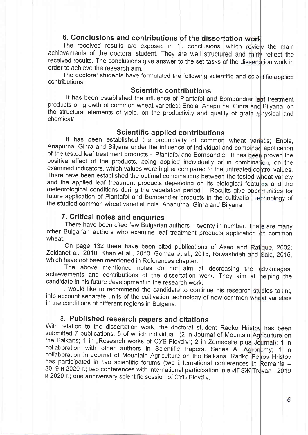# 6. Conclusions and contributions of the dissertation

The received results are exposed in 10 conclusions, which review the mair achievements of the doctoral student. They are well structured and fairly reflect the received results. The conclusions give answer to the set tasks of the dissertation work ir order to achieve the research aim.

The doctoral students have formulated the following scientific and scie contributions:

#### Scientific contributions

It has been established the influence of Plantafol and Bombandier leaf treatmen products on growth of common wheat varieties: Enola, Anapurna, Ginra and Bilyana, or the structural elements of yield, on the productivity and quality of grain /physical and chemical/.

Scientific-applied contributions<br>It has been established the productivity of common wheat varietis; Enola Anapurna, Ginra and Bilyana under the influence of individual and combined applicatior of the tested leaf treatment products – Plantafol and Bombandier. It has been proven the positive effect of the products, being applied individually or in combination, on the examined indicators, which values were higher compared to the untreated control values. There have been established the optimal combinations between the tested wheat variety and the applied leaf treatment products depending on its biological features and the meteorological conditions during the vegetation period. Results give opportunities for future application of Plantafol and Bombandier products in the cultivation technology of the studied common wheat varietieEnola, Anapurna, Ginra and Bilvana.

## 7. Critical notes and enquiries

There have been cited few Bulgarian authors – twenty in number. There are many other Bulgarian authors who examine leaf treatment products application on commor wheat.

On page 132 there have been cited publications of Asad and Rafique, 2002; Zeidanet al., 2010; Khan et al., 2010; Gomaa et al., 20<mark>15, Rawashdeh and Sala, 2015,</mark> which have not been mentioned in References chapter.

The above mentioned notes do not aim at decreasing the advantages achievements and contributions of the dissertation work. They aim at helping the candidate in his future development in the research work.

I would like to recommend the candidate to continue his research studies taking into account separate units of the cultivation technology of new common wheat varieties in the conditions of different regions in Bulgaria

#### 8. Published research papers and citations

With relation to the dissertation work, the doctoral student Radko Hristov has beer submitted 7 publications, 5 of which individual (2 in Journal of Mountain Agriculture on the Balkans; 1 in "Research works of CYE-Plovdiv"; 2 in Zemedelie plus Journal); 1 in collaboration with other authors in Scientific Papers. Series A. Agronomy; 1 in collaboration in Journal of Mountain Agriculture on the Balkans. Radko Petrov Hristov has participated in five scientific forums (two international conferences in Romania –<br>2019 и 2020 г.: two conferences with international participation is a MERNATION 0019 2019 u 2020 r.; two conferences with international participation in в ИГІЗЖ Troyan - 2019 n 2020 r.; one anniversary scientific session of CV5 Plovdiv.